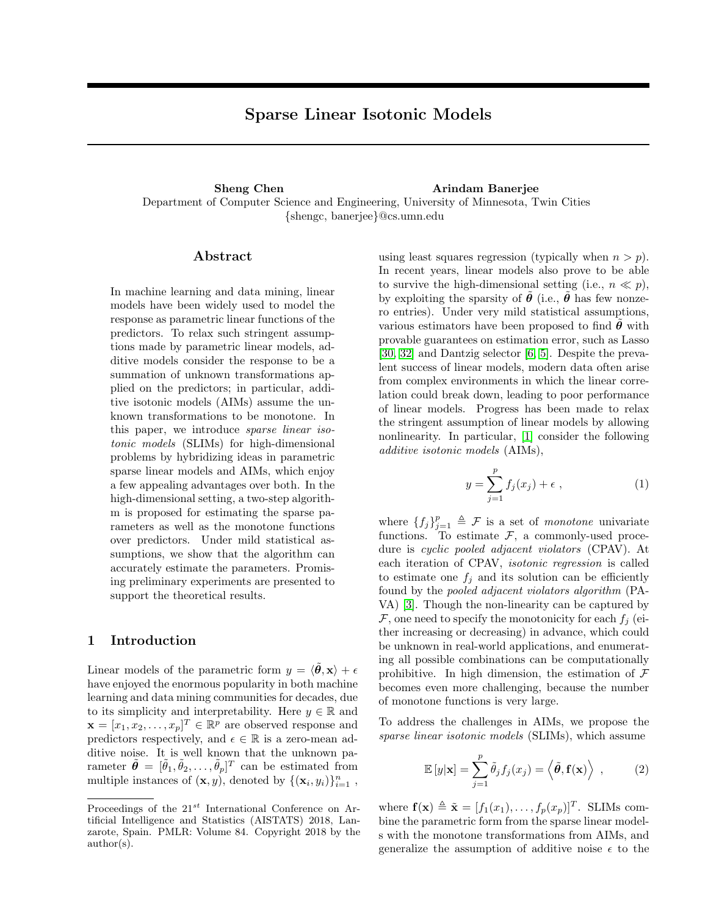# Sparse Linear Isotonic Models

Sheng Chen Arindam Banerjee Department of Computer Science and Engineering, University of Minnesota, Twin Cities {shengc, banerjee}@cs.umn.edu

## Abstract

In machine learning and data mining, linear models have been widely used to model the response as parametric linear functions of the predictors. To relax such stringent assumptions made by parametric linear models, additive models consider the response to be a summation of unknown transformations applied on the predictors; in particular, additive isotonic models (AIMs) assume the unknown transformations to be monotone. In this paper, we introduce *sparse linear iso*tonic models (SLIMs) for high-dimensional problems by hybridizing ideas in parametric sparse linear models and AIMs, which enjoy a few appealing advantages over both. In the high-dimensional setting, a two-step algorithm is proposed for estimating the sparse parameters as well as the monotone functions over predictors. Under mild statistical assumptions, we show that the algorithm can accurately estimate the parameters. Promising preliminary experiments are presented to support the theoretical results.

## 1 Introduction

Linear models of the parametric form  $y = \langle \tilde{\theta}, \mathbf{x} \rangle + \epsilon$ have enjoyed the enormous popularity in both machine learning and data mining communities for decades, due to its simplicity and interpretability. Here  $y \in \mathbb{R}$  and  $\mathbf{x} = [x_1, x_2, \dots, x_p]^T \in \mathbb{R}^p$  are observed response and predictors respectively, and  $\epsilon \in \mathbb{R}$  is a zero-mean additive noise. It is well known that the unknown parameter  $\tilde{\boldsymbol{\theta}} = [\tilde{\theta}_1, \tilde{\theta}_2, \dots, \tilde{\theta}_p]^T$  can be estimated from multiple instances of  $(\mathbf{x}, y)$ , denoted by  $\{(\mathbf{x}_i, y_i)\}_{i=1}^n$ ,

using least squares regression (typically when  $n > p$ ). In recent years, linear models also prove to be able to survive the high-dimensional setting (i.e.,  $n \ll p$ ), by exploiting the sparsity of  $\hat{\theta}$  (i.e.,  $\hat{\theta}$  has few nonzero entries). Under very mild statistical assumptions, various estimators have been proposed to find  $\theta$  with provable guarantees on estimation error, such as Lasso [\[30,](#page-9-0) [32\]](#page-9-1) and Dantzig selector [\[6,](#page-8-0) [5\]](#page-8-1). Despite the prevalent success of linear models, modern data often arise from complex environments in which the linear correlation could break down, leading to poor performance of linear models. Progress has been made to relax the stringent assumption of linear models by allowing nonlinearity. In particular, [\[1\]](#page-7-0) consider the following additive isotonic models (AIMs),

<span id="page-0-0"></span>
$$
y = \sum_{j=1}^{p} f_j(x_j) + \epsilon \tag{1}
$$

where  ${f_j}_{j=1}^p \triangleq \mathcal{F}$  is a set of *monotone* univariate functions. To estimate  $F$ , a commonly-used procedure is cyclic pooled adjacent violators (CPAV). At each iteration of CPAV, isotonic regression is called to estimate one  $f_i$  and its solution can be efficiently found by the pooled adjacent violators algorithm (PA-VA) [\[3\]](#page-8-2). Though the non-linearity can be captured by  $\mathcal F$ , one need to specify the monotonicity for each  $f_i$  (either increasing or decreasing) in advance, which could be unknown in real-world applications, and enumerating all possible combinations can be computationally prohibitive. In high dimension, the estimation of  $\mathcal F$ becomes even more challenging, because the number of monotone functions is very large.

To address the challenges in AIMs, we propose the sparse linear isotonic models (SLIMs), which assume

$$
\mathbb{E}\left[y|\mathbf{x}\right] = \sum_{j=1}^{p} \tilde{\theta}_j f_j(x_j) = \langle \tilde{\boldsymbol{\theta}}, \mathbf{f}(\mathbf{x}) \rangle , \qquad (2)
$$

where  $\mathbf{f}(\mathbf{x}) \triangleq \tilde{\mathbf{x}} = [f_1(x_1), \dots, f_p(x_p)]^T$ . SLIMs combine the parametric form from the sparse linear models with the monotone transformations from AIMs, and generalize the assumption of additive noise  $\epsilon$  to the

Proceedings of the  $21^{st}$  International Conference on Artificial Intelligence and Statistics (AISTATS) 2018, Lanzarote, Spain. PMLR: Volume 84. Copyright 2018 by the author(s).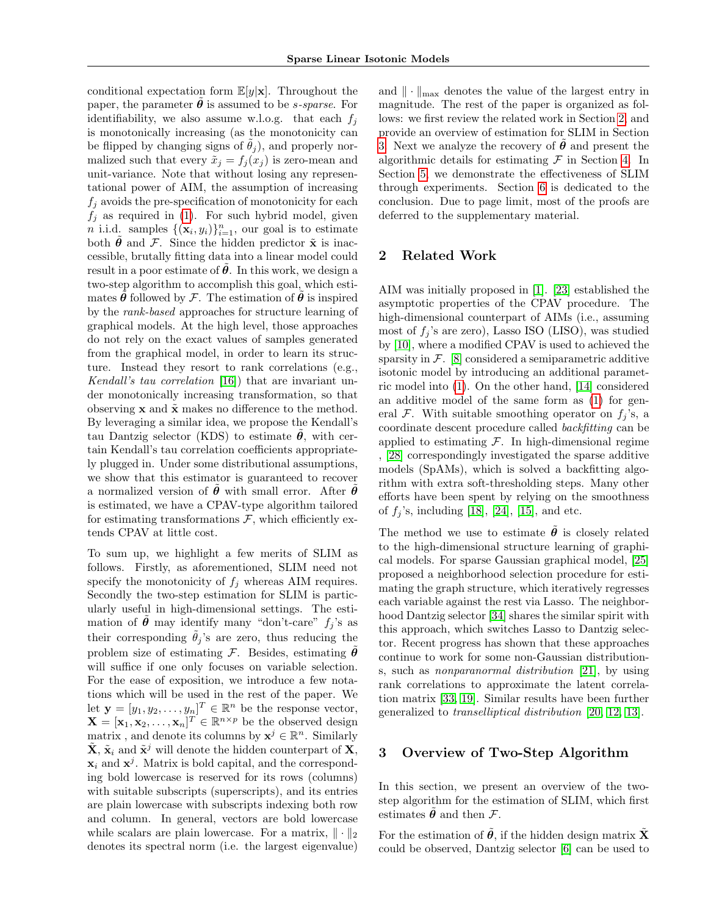conditional expectation form  $\mathbb{E}[y|\mathbf{x}]$ . Throughout the paper, the parameter  $\theta$  is assumed to be *s*-sparse. For identifiability, we also assume w.l.o.g. that each  $f_i$ is monotonically increasing (as the monotonicity can be flipped by changing signs of  $\theta_j$ ), and properly normalized such that every  $\tilde{x}_i = f_i(x_i)$  is zero-mean and unit-variance. Note that without losing any representational power of AIM, the assumption of increasing  $f_j$  avoids the pre-specification of monotonicity for each  $f_j$  as required in [\(1\)](#page-0-0). For such hybrid model, given *n* i.i.d. samples  $\{(\mathbf{x}_i, y_i)\}_{i=1}^n$ , our goal is to estimate both  $\theta$  and  $\mathcal F$ . Since the hidden predictor  $\tilde{\mathbf x}$  is inaccessible, brutally fitting data into a linear model could result in a poor estimate of  $\theta$ . In this work, we design a two-step algorithm to accomplish this goal, which estimates  $\hat{\theta}$  followed by F. The estimation of  $\hat{\theta}$  is inspired by the rank-based approaches for structure learning of graphical models. At the high level, those approaches do not rely on the exact values of samples generated from the graphical model, in order to learn its structure. Instead they resort to rank correlations (e.g., Kendall's tau correlation [\[16\]](#page-8-3)) that are invariant under monotonically increasing transformation, so that observing  $x$  and  $\tilde{x}$  makes no difference to the method. By leveraging a similar idea, we propose the Kendall's tau Dantzig selector (KDS) to estimate  $\theta$ , with certain Kendall's tau correlation coefficients appropriately plugged in. Under some distributional assumptions, we show that this estimator is guaranteed to recover a normalized version of  $\hat{\theta}$  with small error. After  $\hat{\theta}$ is estimated, we have a CPAV-type algorithm tailored for estimating transformations  $\mathcal{F}$ , which efficiently extends CPAV at little cost.

To sum up, we highlight a few merits of SLIM as follows. Firstly, as aforementioned, SLIM need not specify the monotonicity of  $f_i$  whereas AIM requires. Secondly the two-step estimation for SLIM is particularly useful in high-dimensional settings. The estimation of  $\tilde{\theta}$  may identify many "don't-care"  $f_j$ 's as their corresponding  $\hat{\theta}_j$ 's are zero, thus reducing the problem size of estimating  $\mathcal F$ . Besides, estimating  $\boldsymbol \theta$ will suffice if one only focuses on variable selection. For the ease of exposition, we introduce a few notations which will be used in the rest of the paper. We let  $\mathbf{y} = [y_1, y_2, \dots, y_n]^T \in \mathbb{R}^n$  be the response vector,  $\mathbf{X} = [\mathbf{x}_1, \mathbf{x}_2, \dots, \mathbf{x}_n]^T \in \mathbb{R}^{n \times p}$  be the observed design matrix, and denote its columns by  $\mathbf{x}^j \in \mathbb{R}^n$ . Similarly  $\tilde{\mathbf{X}}, \tilde{\mathbf{x}}_i$  and  $\tilde{\mathbf{x}}^j$  will denote the hidden counterpart of  $\mathbf{X}$ ,  $\mathbf{x}_i$  and  $\mathbf{x}^j$ . Matrix is bold capital, and the corresponding bold lowercase is reserved for its rows (columns) with suitable subscripts (superscripts), and its entries are plain lowercase with subscripts indexing both row and column. In general, vectors are bold lowercase while scalars are plain lowercase. For a matrix,  $\|\cdot\|_2$ denotes its spectral norm (i.e. the largest eigenvalue)

and  $\|\cdot\|_{\max}$  denotes the value of the largest entry in magnitude. The rest of the paper is organized as follows: we first review the related work in Section [2,](#page-1-0) and provide an overview of estimation for SLIM in Section [3.](#page-1-1) Next we analyze the recovery of  $\theta$  and present the algorithmic details for estimating  $\mathcal F$  in Section [4.](#page-2-0) In Section [5,](#page-6-0) we demonstrate the effectiveness of SLIM through experiments. Section [6](#page-7-1) is dedicated to the conclusion. Due to page limit, most of the proofs are deferred to the supplementary material.

## <span id="page-1-0"></span>2 Related Work

AIM was initially proposed in [\[1\]](#page-7-0). [\[23\]](#page-8-4) established the asymptotic properties of the CPAV procedure. The high-dimensional counterpart of AIMs (i.e., assuming most of  $f_i$ 's are zero), Lasso ISO (LISO), was studied by [\[10\]](#page-8-5), where a modified CPAV is used to achieved the sparsity in  $\mathcal{F}$ . [\[8\]](#page-8-6) considered a semiparametric additive isotonic model by introducing an additional parametric model into [\(1\)](#page-0-0). On the other hand, [\[14\]](#page-8-7) considered an additive model of the same form as [\(1\)](#page-0-0) for general  $\mathcal F$ . With suitable smoothing operator on  $f_i$ 's, a coordinate descent procedure called backfitting can be applied to estimating  $\mathcal F$ . In high-dimensional regime , [\[28\]](#page-8-8) correspondingly investigated the sparse additive models (SpAMs), which is solved a backfitting algorithm with extra soft-thresholding steps. Many other efforts have been spent by relying on the smoothness of  $f_j$ 's, including [\[18\]](#page-8-9), [\[24\]](#page-8-10), [\[15\]](#page-8-11), and etc.

The method we use to estimate  $\ddot{\theta}$  is closely related to the high-dimensional structure learning of graphical models. For sparse Gaussian graphical model, [\[25\]](#page-8-12) proposed a neighborhood selection procedure for estimating the graph structure, which iteratively regresses each variable against the rest via Lasso. The neighborhood Dantzig selector [\[34\]](#page-9-2) shares the similar spirit with this approach, which switches Lasso to Dantzig selector. Recent progress has shown that these approaches continue to work for some non-Gaussian distributions, such as nonparanormal distribution [\[21\]](#page-8-13), by using rank correlations to approximate the latent correlation matrix [\[33,](#page-9-3) [19\]](#page-8-14). Similar results have been further generalized to transelliptical distribution [\[20,](#page-8-15) [12,](#page-8-16) [13\]](#page-8-17).

## <span id="page-1-1"></span>3 Overview of Two-Step Algorithm

In this section, we present an overview of the twostep algorithm for the estimation of SLIM, which first estimates  $\boldsymbol{\theta}$  and then  $\boldsymbol{\mathcal{F}}$ .

For the estimation of  $\tilde{\theta}$ , if the hidden design matrix  $\tilde{\mathbf{X}}$ could be observed, Dantzig selector [\[6\]](#page-8-0) can be used to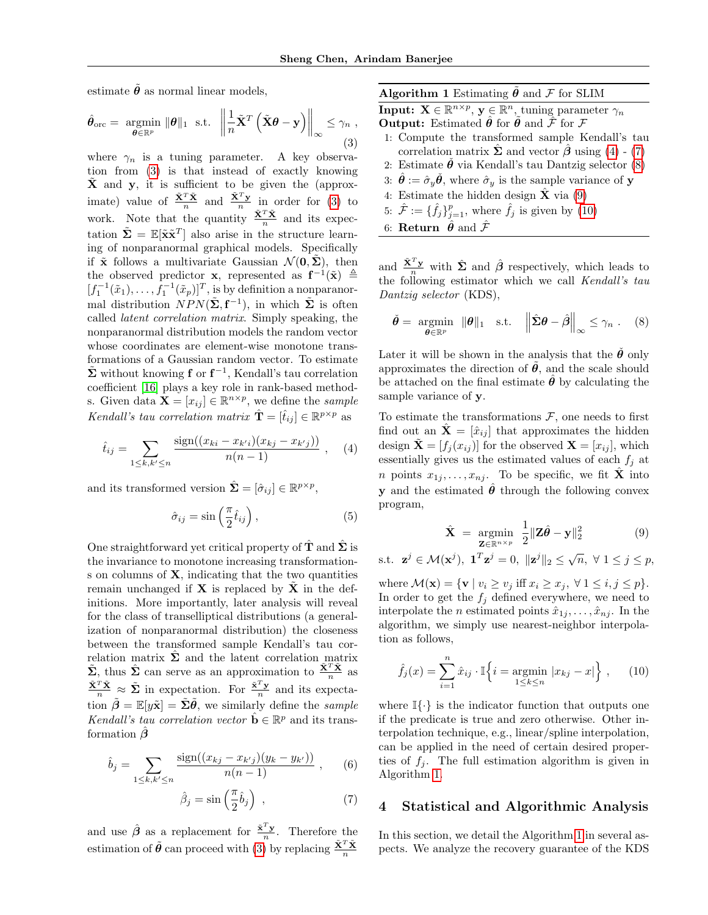estimate  $\tilde{\theta}$  as normal linear models,

$$
\hat{\theta}_{\text{orc}} = \underset{\boldsymbol{\theta} \in \mathbb{R}^p}{\text{argmin}} \|\boldsymbol{\theta}\|_1 \text{ s.t. } \left\|\frac{1}{n}\tilde{\mathbf{X}}^T\left(\tilde{\mathbf{X}}\boldsymbol{\theta} - \mathbf{y}\right)\right\|_{\infty} \leq \gamma_n ,\tag{3}
$$

where  $\gamma_n$  is a tuning parameter. A key observation from [\(3\)](#page-2-1) is that instead of exactly knowing  $\tilde{\mathbf{X}}$  and y, it is sufficient to be given the (approximate) value of  $\frac{\tilde{\mathbf{x}}^T \tilde{\mathbf{x}}}{n}$  and  $\frac{\tilde{\mathbf{x}}^T \mathbf{y}}{n}$  in order for [\(3\)](#page-2-1) to work. Note that the quantity  $\frac{\tilde{\mathbf{X}}^T \tilde{\mathbf{X}}}{n}$  and its expectation  $\tilde{\Sigma} = \mathbb{E}[\tilde{\mathbf{x}} \tilde{\mathbf{x}}^T]$  also arise in the structure learning of nonparanormal graphical models. Specifically if  $\tilde{\mathbf{x}}$  follows a multivariate Gaussian  $\mathcal{N}(\mathbf{0}, \tilde{\mathbf{\Sigma}})$ , then the observed predictor **x**, represented as  $f^{-1}(\tilde{x}) \triangleq$  $[f_1^{-1}(\tilde{x}_1), \ldots, f_1^{-1}(\tilde{x}_p)]^T$ , is by definition a nonparanormal distribution  $\overline{N}PN(\tilde{\Sigma}, \mathbf{f}^{-1}),$  in which  $\tilde{\Sigma}$  is often called latent correlation matrix. Simply speaking, the nonparanormal distribution models the random vector whose coordinates are element-wise monotone transformations of a Gaussian random vector. To estimate  $\tilde{\Sigma}$  without knowing **f** or  $f^{-1}$ , Kendall's tau correlation coefficient [\[16\]](#page-8-3) plays a key role in rank-based methods. Given data  $\mathbf{X} = [x_{ij}] \in \mathbb{R}^{n \times p}$ , we define the sample Kendall's tau correlation matrix  $\hat{\mathbf{T}} = [\hat{t}_{ij}] \in \mathbb{R}^{p \times p}$  as

$$
\hat{t}_{ij} = \sum_{1 \le k, k' \le n} \frac{\text{sign}((x_{ki} - x_{k'i})(x_{kj} - x_{k'j}))}{n(n-1)}, \quad (4)
$$

and its transformed version  $\hat{\mathbf{\Sigma}} = [\hat{\sigma}_{ij}] \in \mathbb{R}^{p \times p}$ ,

$$
\hat{\sigma}_{ij} = \sin\left(\frac{\pi}{2}\hat{t}_{ij}\right),\tag{5}
$$

One straightforward yet critical property of  $\hat{\mathbf{T}}$  and  $\hat{\mathbf{\Sigma}}$  is the invariance to monotone increasing transformations on columns of  $X$ , indicating that the two quantities remain unchanged if  $X$  is replaced by  $X$  in the definitions. More importantly, later analysis will reveal for the class of transelliptical distributions (a generalization of nonparanormal distribution) the closeness between the transformed sample Kendall's tau correlation matrix  $\hat{\Sigma}$  and the latent correlation matrix  $\tilde{\Sigma}$ , thus  $\hat{\Sigma}$  can serve as an approximation to  $\frac{\tilde{\mathbf{X}}^T\tilde{\mathbf{X}}}{n}$  as  $\frac{\tilde{\mathbf{x}}^T \tilde{\mathbf{x}}}{n} \approx \tilde{\Sigma}$  in expectation. For  $\frac{\tilde{\mathbf{x}}^T \mathbf{y}}{n}$  and its expectation  $\tilde{\beta} = \mathbb{E}[y\tilde{\mathbf{x}}] = \tilde{\Sigma}\tilde{\theta}$ , we similarly define the *sample* Kendall's tau correlation vector  $\hat{\mathbf{b}} \in \mathbb{R}^p$  and its transformation  $\beta$ 

$$
\hat{b}_j = \sum_{1 \le k, k' \le n} \frac{\text{sign}((x_{kj} - x_{k'j})(y_k - y_{k'}))}{n(n-1)}, \quad (6)
$$

$$
\hat{\beta}_j = \sin\left(\frac{\pi}{2}\hat{b}_j\right) \tag{7}
$$

and use  $\hat{\beta}$  as a replacement for  $\frac{\tilde{\mathbf{x}}^T \mathbf{y}}{n}$ . Therefore the estimation of  $\tilde{\theta}$  can proceed with [\(3\)](#page-2-1) by replacing  $\frac{\tilde{\mathbf{x}}^T \tilde{\mathbf{x}}}{n}$ 

<span id="page-2-7"></span><span id="page-2-1"></span>Algorithm 1 Estimating  $\theta$  and  ${\mathcal F}$  for SLIM **Input:**  $\mathbf{X} \in \mathbb{R}^{n \times p}$ ,  $\mathbf{y} \in \mathbb{R}^n$ , tuning parameter  $\gamma_n$ **Output:** Estimated  $\hat{\theta}$  for  $\tilde{\theta}$  and  $\hat{\mathcal{F}}$  for  $\mathcal{F}$ 1: Compute the transformed sample Kendall's tau

- correlation matrix  $\hat{\Sigma}$  and vector  $\hat{\beta}$  using [\(4\)](#page-2-2) [\(7\)](#page-2-3)
- 2: Estimate  $\hat{\theta}$  via Kendall's tau Dantzig selector [\(8\)](#page-2-4)
- 3:  $\hat{\theta} := \hat{\sigma}_y \hat{\theta}$ , where  $\hat{\sigma}_y$  is the sample variance of y 4: Estimate the hidden design  $\hat{\mathbf{X}}$  via [\(9\)](#page-2-5)
- 5:  $\hat{\mathcal{F}} := {\{\hat{f}_j\}}_{j=1}^p$ , where  $\hat{f}_j$  is given by [\(10\)](#page-2-6)
- 6: **Return**  $\hat{\theta}$  and  $\hat{\mathcal{F}}$

and  $\frac{\tilde{\mathbf{X}}^T \mathbf{y}}{n}$  with  $\hat{\mathbf{\Sigma}}$  and  $\hat{\boldsymbol{\beta}}$  respectively, which leads to the following estimator which we call Kendall's tau Dantzig selector (KDS),

<span id="page-2-4"></span>
$$
\check{\theta} = \underset{\theta \in \mathbb{R}^p}{\text{argmin}} \|\theta\|_1 \quad \text{s.t.} \quad \left\|\hat{\Sigma}\theta - \hat{\beta}\right\|_{\infty} \leq \gamma_n \quad (8)
$$

Later it will be shown in the analysis that the  $\dot{\theta}$  only approximates the direction of  $\theta$ , and the scale should be attached on the final estimate  $\boldsymbol{\theta}$  by calculating the sample variance of y.

<span id="page-2-2"></span>To estimate the transformations  $F$ , one needs to first find out an  $\mathbf{\hat{X}} = [\hat{x}_{ij}]$  that approximates the hidden design  $\tilde{\mathbf{X}} = [f_j(x_{ij})]$  for the observed  $\mathbf{X} = [x_{ij}]$ , which essentially gives us the estimated values of each  $f_j$  at *n* points  $x_{1j}, \ldots, x_{nj}$ . To be specific, we fit  $\hat{\mathbf{X}}$  into **v** and the estimated  $\hat{\theta}$  through the following convex program,

<span id="page-2-5"></span>
$$
\hat{\mathbf{X}} = \underset{\mathbf{Z} \in \mathbb{R}^{n \times p}}{\operatorname{argmin}} \frac{1}{2} \|\mathbf{Z}\hat{\boldsymbol{\theta}} - \mathbf{y}\|_2^2 \tag{9}
$$

<span id="page-2-8"></span>s.t.  $\mathbf{z}^j \in \mathcal{M}(\mathbf{x}^j), \ \mathbf{1}^T \mathbf{z}^j = 0, \ \| \mathbf{z}^j \|_2 \leq \sqrt{n}, \ \forall \ 1 \leq j \leq p,$ 

where  $\mathcal{M}(\mathbf{x}) = \{ \mathbf{v} \mid v_i \ge v_j \text{ iff } x_i \ge x_j, \forall 1 \le i, j \le p \}.$ In order to get the  $f_j$  defined everywhere, we need to interpolate the *n* estimated points  $\hat{x}_{1j}, \ldots, \hat{x}_{nj}$ . In the algorithm, we simply use nearest-neighbor interpolation as follows,

<span id="page-2-6"></span>
$$
\hat{f}_j(x) = \sum_{i=1}^n \hat{x}_{ij} \cdot \mathbb{I}\left\{i = \underset{1 \le k \le n}{\text{argmin}} |x_{kj} - x| \right\}, \quad (10)
$$

where  $\mathbb{I}\{\cdot\}$  is the indicator function that outputs one if the predicate is true and zero otherwise. Other interpolation technique, e.g., linear/spline interpolation, can be applied in the need of certain desired properties of  $f_j$ . The full estimation algorithm is given in Algorithm [1.](#page-2-7)

## <span id="page-2-3"></span><span id="page-2-0"></span>4 Statistical and Algorithmic Analysis

In this section, we detail the Algorithm [1](#page-2-7) in several aspects. We analyze the recovery guarantee of the KDS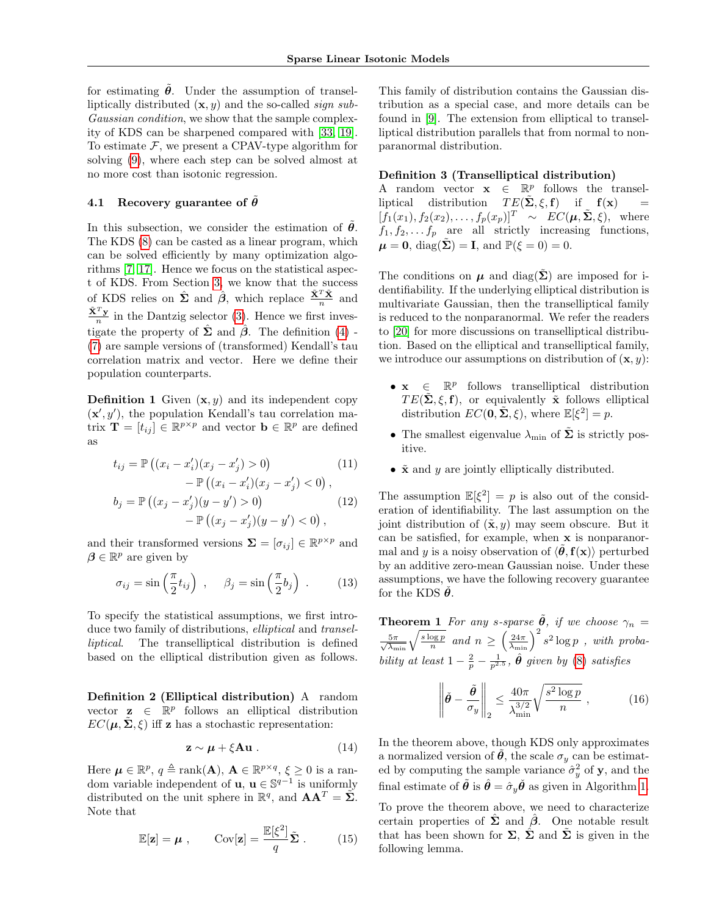for estimating  $\tilde{\theta}$ . Under the assumption of transelliptically distributed  $(\mathbf{x}, y)$  and the so-called sign sub-Gaussian condition, we show that the sample complexity of KDS can be sharpened compared with [\[33,](#page-9-3) [19\]](#page-8-14). To estimate  $\mathcal F$ , we present a CPAV-type algorithm for solving [\(9\)](#page-2-5), where each step can be solved almost at no more cost than isotonic regression.

## 4.1 Recovery guarantee of  $\hat{\theta}$

In this subsection, we consider the estimation of  $\tilde{\theta}$ . The KDS [\(8\)](#page-2-4) can be casted as a linear program, which can be solved efficiently by many optimization algorithms [\[7,](#page-8-18) [17\]](#page-8-19). Hence we focus on the statistical aspect of KDS. From Section [3,](#page-1-1) we know that the success of KDS relies on  $\hat{\Sigma}$  and  $\hat{\beta}$ , which replace  $\frac{\tilde{\mathbf{X}}^T\tilde{\mathbf{X}}}{n}$  and  $\frac{\tilde{\mathbf{X}}^T \mathbf{y}}{n}$  in the Dantzig selector [\(3\)](#page-2-1). Hence we first investigate the property of  $\hat{\Sigma}$  and  $\hat{\beta}$ . The definition [\(4\)](#page-2-2) -[\(7\)](#page-2-3) are sample versions of (transformed) Kendall's tau correlation matrix and vector. Here we define their population counterparts.

**Definition 1** Given  $(x, y)$  and its independent copy  $(\mathbf{x}', y')$ , the population Kendall's tau correlation matrix  $\mathbf{T} = [t_{ij}] \in \mathbb{R}^{p \times p}$  and vector  $\mathbf{b} \in \mathbb{R}^p$  are defined as

$$
t_{ij} = \mathbb{P}\left((x_i - x'_i)(x_j - x'_j) > 0\right) - \mathbb{P}\left((x_i - x'_i)(x_j - x'_j) < 0\right),
$$
 (11)

$$
b_j = \mathbb{P}\left((x_j - x'_j)(y - y') > 0\right) \qquad (12)
$$
  
-  $\mathbb{P}\left((x_j - x'_j)(y - y') < 0\right),$ 

and their transformed versions  $\Sigma = [\sigma_{ij}] \in \mathbb{R}^{p \times p}$  and  $\beta \in \mathbb{R}^p$  are given by

$$
\sigma_{ij} = \sin\left(\frac{\pi}{2}t_{ij}\right) , \quad \beta_j = \sin\left(\frac{\pi}{2}b_j\right) . \quad (13)
$$

To specify the statistical assumptions, we first introduce two family of distributions, elliptical and transelliptical. The transelliptical distribution is defined based on the elliptical distribution given as follows.

Definition 2 (Elliptical distribution) A random vector  $\mathbf{z} \in \mathbb{R}^p$  follows an elliptical distribution  $EC(\mu, \tilde{\Sigma}, \xi)$  iff z has a stochastic representation:

$$
\mathbf{z} \sim \boldsymbol{\mu} + \xi \mathbf{A} \mathbf{u} \,. \tag{14}
$$

Here  $\mu \in \mathbb{R}^p$ ,  $q \triangleq \text{rank}(\mathbf{A})$ ,  $\mathbf{A} \in \mathbb{R}^{p \times q}$ ,  $\xi \geq 0$  is a random variable independent of **u**, **u**  $\in \mathbb{S}^{q-1}$  is uniformly distributed on the unit sphere in  $\mathbb{R}^q$ , and  $AA^T = \tilde{\Sigma}$ . Note that

$$
\mathbb{E}[\mathbf{z}] = \boldsymbol{\mu} , \qquad \text{Cov}[\mathbf{z}] = \frac{\mathbb{E}[\xi^2]}{q} \tilde{\boldsymbol{\Sigma}} . \tag{15}
$$

This family of distribution contains the Gaussian distribution as a special case, and more details can be found in [\[9\]](#page-8-20). The extension from elliptical to transelliptical distribution parallels that from normal to nonparanormal distribution.

#### Definition 3 (Transelliptical distribution)

A random vector  $\mathbf{x} \in \mathbb{R}^p$  follows the transelliptical distribution  $TE(\tilde{\Sigma}, \xi, f)$  if  $f(x)$  =  $[f_1(x_1), f_2(x_2), \ldots, f_p(x_p)]^T \sim EC(\mu, \tilde{\Sigma}, \xi)$ , where  $f_1, f_2, \ldots, f_p$  are all strictly increasing functions,  $\mu = 0$ , diag( $\dot{\Sigma}$ ) = I, and  $\mathbb{P}(\xi = 0) = 0$ .

The conditions on  $\mu$  and diag( $\Sigma$ ) are imposed for identifiability. If the underlying elliptical distribution is multivariate Gaussian, then the transelliptical family is reduced to the nonparanormal. We refer the readers to [\[20\]](#page-8-15) for more discussions on transelliptical distribution. Based on the elliptical and transelliptical family, we introduce our assumptions on distribution of  $(\mathbf{x}, y)$ :

- $\mathbf{x} \in \mathbb{R}^p$  follows transelliptical distribution  $TE(\tilde{\Sigma}, \xi, \mathbf{f})$ , or equivalently  $\tilde{\mathbf{x}}$  follows elliptical distribution  $EC(\mathbf{0}, \tilde{\Sigma}, \xi)$ , where  $\mathbb{E}[\xi^2] = p$ .
- The smallest eigenvalue  $\lambda_{\min}$  of  $\tilde{\Sigma}$  is strictly positive.
- <span id="page-3-2"></span>•  $\tilde{\mathbf{x}}$  and y are jointly elliptically distributed.

The assumption  $\mathbb{E}[\xi^2] = p$  is also out of the consideration of identifiability. The last assumption on the joint distribution of  $(\tilde{\mathbf{x}}, y)$  may seem obscure. But it can be satisfied, for example, when x is nonparanormal and y is a noisy observation of  $\langle \tilde{\theta}, \mathbf{f}(\mathbf{x}) \rangle$  perturbed by an additive zero-mean Gaussian noise. Under these assumptions, we have the following recovery guarantee for the KDS  $\theta$ .

<span id="page-3-1"></span>**Theorem 1** For any s-sparse  $\tilde{\theta}$ , if we choose  $\gamma_n =$  $\frac{5\pi}{\sqrt{\lambda_{\min}}} \sqrt{\frac{s\log p}{n}}$  and  $n \geq \left(\frac{24\pi}{\lambda_{\min}}\right)^2 s^2 \log p$  , with probability at least  $1 - \frac{2}{p} - \frac{1}{p^{2.5}}$ ,  $\hat{\theta}$  given by [\(8\)](#page-2-4) satisfies

$$
\left\| \check{\boldsymbol{\theta}} - \frac{\tilde{\boldsymbol{\theta}}}{\sigma_y} \right\|_2 \le \frac{40\pi}{\lambda_{\min}^{3/2}} \sqrt{\frac{s^2 \log p}{n}} \;, \tag{16}
$$

In the theorem above, though KDS only approximates a normalized version of  $\theta$ , the scale  $\sigma_y$  can be estimated by computing the sample variance  $\hat{\sigma}_y^2$  of **y**, and the final estimate of  $\tilde{\theta}$  is  $\hat{\theta} = \hat{\sigma}_y \tilde{\theta}$  as given in Algorithm [1.](#page-2-7)

<span id="page-3-0"></span>To prove the theorem above, we need to characterize certain properties of  $\hat{\Sigma}$  and  $\hat{\beta}$ . One notable result that has been shown for  $\Sigma$ ,  $\hat{\Sigma}$  and  $\tilde{\Sigma}$  is given in the following lemma.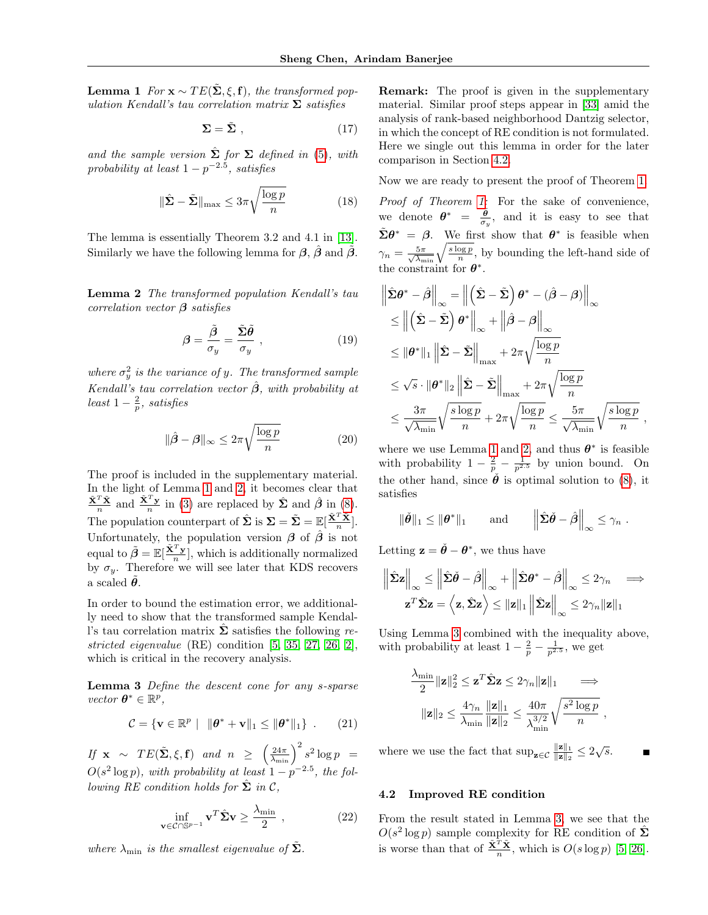**Lemma 1** For  $\mathbf{x} \sim TE(\tilde{\Sigma}, \xi, \mathbf{f})$ , the transformed population Kendall's tau correlation matrix  $\Sigma$  satisfies

$$
\Sigma = \tilde{\Sigma} \tag{17}
$$

and the sample version  $\hat{\Sigma}$  for  $\Sigma$  defined in [\(5\)](#page-2-8), with probability at least  $1-p^{-2.5}$ , satisfies

$$
\|\hat{\mathbf{\Sigma}} - \tilde{\mathbf{\Sigma}}\|_{\max} \le 3\pi \sqrt{\frac{\log p}{n}} \tag{18}
$$

<span id="page-4-0"></span>The lemma is essentially Theorem 3.2 and 4.1 in [\[13\]](#page-8-17). Similarly we have the following lemma for  $\beta$ ,  $\hat{\beta}$  and  $\tilde{\beta}$ .

Lemma 2 The transformed population Kendall's tau correlation vector  $\beta$  satisfies

$$
\beta = \frac{\tilde{\beta}}{\sigma_y} = \frac{\tilde{\Sigma}\tilde{\theta}}{\sigma_y} , \qquad (19)
$$

where  $\sigma_y^2$  is the variance of y. The transformed sample Kendall's tau correlation vector  $\hat{\beta}$ , with probability at least  $1-\frac{2}{p}$ , satisfies

$$
\|\hat{\beta} - \beta\|_{\infty} \le 2\pi \sqrt{\frac{\log p}{n}} \tag{20}
$$

The proof is included in the supplementary material. In the light of Lemma [1](#page-3-0) and [2,](#page-4-0) it becomes clear that  $\frac{\tilde{\mathbf{X}}^T\tilde{\mathbf{X}}}{n}$  and  $\frac{\tilde{\mathbf{X}}^T\mathbf{y}}{n}$  in [\(3\)](#page-2-1) are replaced by  $\hat{\mathbf{\Sigma}}$  and  $\hat{\boldsymbol{\beta}}$  in [\(8\)](#page-2-4). The population counterpart of  $\hat{\Sigma}$  is  $\Sigma = \tilde{\Sigma} = \mathbb{E}[\frac{\tilde{\mathbf{X}}^T \tilde{\mathbf{X}}}{n}].$ Unfortunately, the population version  $\beta$  of  $\hat{\beta}$  is not equal to  $\tilde{\beta} = \mathbb{E}[\frac{\tilde{\mathbf{X}}^T \mathbf{y}}{n}]$ , which is additionally normalized by  $\sigma_y$ . Therefore we will see later that KDS recovers a scaled  $\theta$ .

In order to bound the estimation error, we additionally need to show that the transformed sample Kendall's tau correlation matrix  $\Sigma$  satisfies the following restricted eigenvalue (RE) condition [\[5,](#page-8-1) [35,](#page-9-4) [27,](#page-8-21) [26,](#page-8-22) [2\]](#page-7-2), which is critical in the recovery analysis.

Lemma 3 Define the descent cone for any s-sparse  $vector \space \boldsymbol{\theta}^* \in \mathbb{R}^p$ ,

<span id="page-4-3"></span>
$$
\mathcal{C} = \{ \mathbf{v} \in \mathbb{R}^p \mid \|\boldsymbol{\theta}^* + \mathbf{v}\|_1 \leq \|\boldsymbol{\theta}^*\|_1 \} . \qquad (21)
$$

If  $\mathbf{x} \sim TE(\tilde{\Sigma}, \xi, \mathbf{f})$  and  $n \geq \left(\frac{24\pi}{\lambda_{\min}}\right)^2 s^2 \log p =$  $O(s^2 \log p)$ , with probability at least  $1 - p^{-2.5}$ , the following RE condition holds for  $\hat{\Sigma}$  in C,

$$
\inf_{\mathbf{v}\in\mathcal{C}\cap\mathbb{S}^{p-1}}\mathbf{v}^T\hat{\boldsymbol{\Sigma}}\mathbf{v}\geq\frac{\lambda_{\min}}{2}\;, \tag{22}
$$

where  $\lambda_{\min}$  is the smallest eigenvalue of  $\Sigma$ .

Remark: The proof is given in the supplementary material. Similar proof steps appear in [\[33\]](#page-9-3) amid the analysis of rank-based neighborhood Dantzig selector, in which the concept of RE condition is not formulated. Here we single out this lemma in order for the later comparison in Section [4.2.](#page-4-1)

Now we are ready to present the proof of Theorem [1.](#page-3-1)

Proof of Theorem [1:](#page-3-1) For the sake of convenience, we denote  $\theta^* = \frac{\tilde{\theta}}{\sigma_y}$ , and it is easy to see that  $\tilde{\Sigma}\theta^* = \beta$ . We first show that  $\theta^*$  is feasible when  $\gamma_n = \frac{5\pi}{\sqrt{\lambda_{\min}}} \sqrt{\frac{s \log p}{n}}$ , by bounding the left-hand side of the constraint for  $\theta^*$ .

$$
\left\| \hat{\Sigma} \theta^* - \hat{\beta} \right\|_{\infty} = \left\| \left( \hat{\Sigma} - \tilde{\Sigma} \right) \theta^* - (\hat{\beta} - \beta) \right\|_{\infty} \n\leq \left\| \left( \hat{\Sigma} - \tilde{\Sigma} \right) \theta^* \right\|_{\infty} + \left\| \hat{\beta} - \beta \right\|_{\infty} \n\leq \left\| \theta^* \right\|_1 \left\| \hat{\Sigma} - \tilde{\Sigma} \right\|_{\max} + 2\pi \sqrt{\frac{\log p}{n}} \n\leq \sqrt{s} \cdot \|\theta^*\|_2 \left\| \hat{\Sigma} - \tilde{\Sigma} \right\|_{\max} + 2\pi \sqrt{\frac{\log p}{n}} \n\leq \frac{3\pi}{\sqrt{\lambda_{\min}}} \sqrt{\frac{s \log p}{n}} + 2\pi \sqrt{\frac{\log p}{n}} \leq \frac{5\pi}{\sqrt{\lambda_{\min}}} \sqrt{\frac{s \log p}{n}}
$$

where we use Lemma [1](#page-3-0) and [2,](#page-4-0) and thus  $\theta^*$  is feasible with probability  $1 - \frac{2}{p} - \frac{1}{p^{2.5}}$  by union bound. On the other hand, since  $\check{\theta}$  is optimal solution to [\(8\)](#page-2-4), it satisfies

,

$$
\|\check{\theta}\|_1 \le \|\theta^*\|_1
$$
 and  $\left\|\hat{\Sigma}\check{\theta}-\hat{\beta}\right\|_{\infty} \le \gamma_n$ .

Letting  $\mathbf{z} = \check{\theta} - \theta^*$ , we thus have

$$
\left\| \hat{\boldsymbol{\Sigma}} \mathbf{z} \right\|_{\infty} \le \left\| \hat{\boldsymbol{\Sigma}} \check{\boldsymbol{\theta}} - \hat{\boldsymbol{\beta}} \right\|_{\infty} + \left\| \hat{\boldsymbol{\Sigma}} \boldsymbol{\theta}^* - \hat{\boldsymbol{\beta}} \right\|_{\infty} \le 2\gamma_n \quad \Longrightarrow
$$

$$
\mathbf{z}^T \hat{\boldsymbol{\Sigma}} \mathbf{z} = \left\langle \mathbf{z}, \hat{\boldsymbol{\Sigma}} \mathbf{z} \right\rangle \le \|\mathbf{z}\|_1 \left\| \hat{\boldsymbol{\Sigma}} \mathbf{z} \right\|_{\infty} \le 2\gamma_n \|\mathbf{z}\|_1
$$

<span id="page-4-2"></span>Using Lemma [3](#page-4-2) combined with the inequality above, with probability at least  $1 - \frac{2}{p} - \frac{1}{p^{2.5}}$ , we get

$$
\frac{\lambda_{\min}}{2} \|\mathbf{z}\|_2^2 \leq \mathbf{z}^T \hat{\mathbf{\Sigma}} \mathbf{z} \leq 2\gamma_n \|\mathbf{z}\|_1 \implies
$$

$$
\|\mathbf{z}\|_2 \leq \frac{4\gamma_n}{\lambda_{\min}} \frac{\|\mathbf{z}\|_1}{\|\mathbf{z}\|_2} \leq \frac{40\pi}{\lambda_{\min}^{3/2}} \sqrt{\frac{s^2 \log p}{n}} ,
$$

where we use the fact that  $\sup_{z \in \mathcal{C}} \frac{\|z\|_1}{\|z\|_2}$  $\frac{\|\mathbf{z}\|_1}{\|\mathbf{z}\|_2} \leq 2\sqrt{s}.$ 

#### <span id="page-4-1"></span>4.2 Improved RE condition

From the result stated in Lemma [3,](#page-4-2) we see that the  $O(s^2 \log p)$  sample complexity for RE condition of  $\hat{\Sigma}$ is worse than that of  $\frac{\tilde{\mathbf{X}}^T \tilde{\mathbf{X}}}{n}$ , which is  $O(s \log p)$  [\[5,](#page-8-1) [26\]](#page-8-22).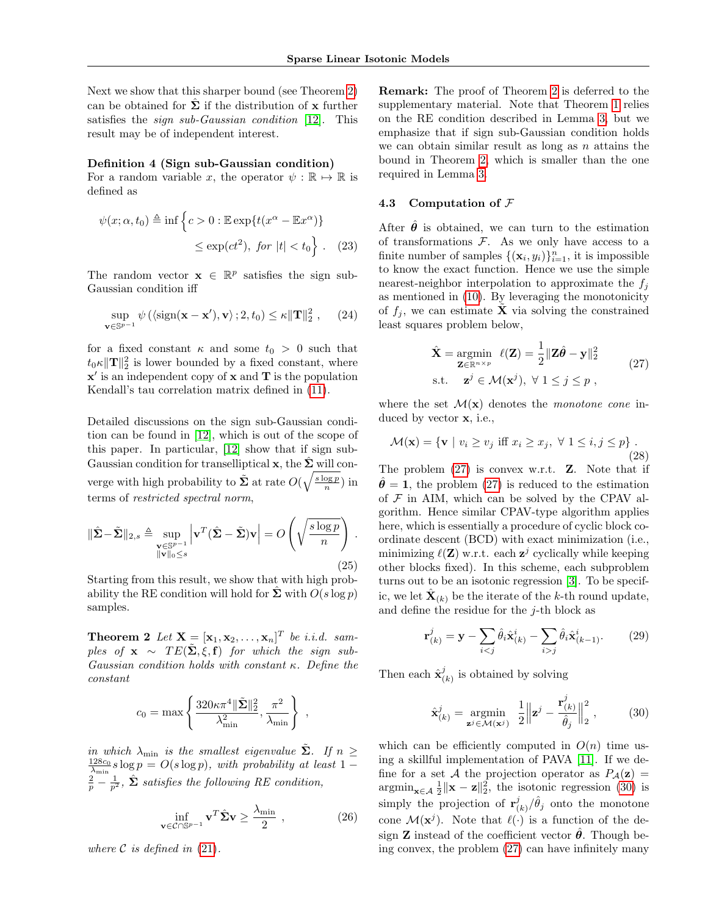Next we show that this sharper bound (see Theorem [2\)](#page-5-0) can be obtained for  $\Sigma$  if the distribution of x further satisfies the *sign sub-Gaussian condition* [\[12\]](#page-8-16). This result may be of independent interest.

#### Definition 4 (Sign sub-Gaussian condition)

For a random variable x, the operator  $\psi : \mathbb{R} \to \mathbb{R}$  is defined as

$$
\psi(x; \alpha, t_0) \triangleq \inf \left\{ c > 0 : \mathbb{E} \exp\{ t(x^{\alpha} - \mathbb{E} x^{\alpha}) \} \right\}
$$
  

$$
\leq \exp(ct^2), \text{ for } |t| < t_0 \right\}. \quad (23)
$$

The random vector  $\mathbf{x} \in \mathbb{R}^p$  satisfies the sign sub-Gaussian condition iff

$$
\sup_{\mathbf{v}\in\mathbb{S}^{p-1}}\psi\left(\langle\operatorname{sign}(\mathbf{x}-\mathbf{x}'),\mathbf{v}\rangle\,;2,t_0\right)\leq\kappa\|\mathbf{T}\|_2^2\;, \quad (24)
$$

for a fixed constant  $\kappa$  and some  $t_0 > 0$  such that  $t_0 \kappa ||\mathbf{T}||_2^2$  is lower bounded by a fixed constant, where  $x'$  is an independent copy of  $x$  and  $T$  is the population Kendall's tau correlation matrix defined in [\(11\)](#page-3-2).

Detailed discussions on the sign sub-Gaussian condition can be found in [\[12\]](#page-8-16), which is out of the scope of this paper. In particular, [\[12\]](#page-8-16) show that if sign sub-Gaussian condition for transelliptical x, the  $\hat{\Sigma}$  will converge with high probability to  $\tilde{\Sigma}$  at rate  $O(\sqrt{\frac{s \log p}{n}})$  in terms of restricted spectral norm,

$$
\|\hat{\Sigma} - \tilde{\Sigma}\|_{2,s} \triangleq \sup_{\substack{\mathbf{v} \in \mathbb{S}^{p-1} \\ \|\mathbf{v}\|_0 \le s}} \left| \mathbf{v}^T (\hat{\Sigma} - \tilde{\Sigma}) \mathbf{v} \right| = O\left(\sqrt{\frac{s \log p}{n}}\right).
$$
\n(25)

<span id="page-5-0"></span>Starting from this result, we show that with high probability the RE condition will hold for  $\hat{\Sigma}$  with  $O(s \log p)$ samples.

**Theorem 2** Let  $\mathbf{X} = [\mathbf{x}_1, \mathbf{x}_2, \dots, \mathbf{x}_n]^T$  be i.i.d. samples of  $\mathbf{x} \sim TE(\tilde{\Sigma}, \xi, \mathbf{f})$  for which the sign sub-Gaussian condition holds with constant  $\kappa$ . Define the constant

$$
c_0 = \max \left\{ \frac{320\kappa \pi^4 \|\tilde{\Sigma}\|_2^2}{\lambda_{\min}^2}, \frac{\pi^2}{\lambda_{\min}} \right\} ,
$$

in which  $\lambda_{\min}$  is the smallest eigenvalue  $\tilde{\Sigma}$ . If  $n \geq$  $\frac{128c_0}{\lambda_{\min}} s \log p = O(s \log p)$ , with probability at least 1 –  $\frac{2}{p} - \frac{1}{p^2}$ ,  $\hat{\Sigma}$  satisfies the following RE condition,

$$
\inf_{\mathbf{v}\in\mathcal{C}\cap\mathbb{S}^{p-1}}\mathbf{v}^T\hat{\boldsymbol{\Sigma}}\mathbf{v}\geq\frac{\lambda_{\min}}{2}\;, \tag{26}
$$

where  $\mathcal C$  is defined in [\(21\)](#page-4-3).

Remark: The proof of Theorem [2](#page-5-0) is deferred to the supplementary material. Note that Theorem [1](#page-3-1) relies on the RE condition described in Lemma [3,](#page-4-2) but we emphasize that if sign sub-Gaussian condition holds we can obtain similar result as long as  $n$  attains the bound in Theorem [2,](#page-5-0) which is smaller than the one required in Lemma [3.](#page-4-2)

#### 4.3 Computation of  $F$

After  $\hat{\theta}$  is obtained, we can turn to the estimation of transformations  $F$ . As we only have access to a finite number of samples  $\{(\mathbf{x}_i, y_i)\}_{i=1}^n$ , it is impossible to know the exact function. Hence we use the simple nearest-neighbor interpolation to approximate the  $f_i$ as mentioned in [\(10\)](#page-2-6). By leveraging the monotonicity of  $f_j$ , we can estimate **X** via solving the constrained least squares problem below,

<span id="page-5-1"></span>
$$
\hat{\mathbf{X}} = \underset{\mathbf{Z} \in \mathbb{R}^{n \times p}}{\operatorname{argmin}} \ \ell(\mathbf{Z}) = \frac{1}{2} ||\mathbf{Z}\hat{\boldsymbol{\theta}} - \mathbf{y}||_2^2
$$
\n
$$
\text{s.t.} \quad \mathbf{z}^j \in \mathcal{M}(\mathbf{x}^j), \ \forall \ 1 \le j \le p \ ,
$$
\n
$$
(27)
$$

where the set  $\mathcal{M}(\mathbf{x})$  denotes the monotone cone induced by vector x, i.e.,

$$
\mathcal{M}(\mathbf{x}) = \{ \mathbf{v} \mid v_i \ge v_j \text{ iff } x_i \ge x_j, \ \forall \ 1 \le i, j \le p \}.
$$
\n(28)

The problem  $(27)$  is convex w.r.t. **Z**. Note that if  $\hat{\theta} = 1$ , the problem [\(27\)](#page-5-1) is reduced to the estimation of  $\mathcal F$  in AIM, which can be solved by the CPAV algorithm. Hence similar CPAV-type algorithm applies here, which is essentially a procedure of cyclic block coordinate descent (BCD) with exact minimization (i.e., minimizing  $\ell(\mathbf{Z})$  w.r.t. each  $\mathbf{z}^j$  cyclically while keeping other blocks fixed). In this scheme, each subproblem turns out to be an isotonic regression [\[3\]](#page-8-2). To be specific, we let  $\hat{\mathbf{X}}_{(k)}$  be the iterate of the k-th round update, and define the residue for the  $j$ -th block as

<span id="page-5-3"></span>
$$
\mathbf{r}_{(k)}^j = \mathbf{y} - \sum_{i < j} \hat{\theta}_i \hat{\mathbf{x}}_{(k)}^i - \sum_{i > j} \hat{\theta}_i \hat{\mathbf{x}}_{(k-1)}^i. \tag{29}
$$

Then each  $\hat{\mathbf{x}}_i^j$  $\binom{J}{k}$  is obtained by solving

<span id="page-5-2"></span>
$$
\hat{\mathbf{x}}_{(k)}^j = \underset{\mathbf{z}^j \in \mathcal{M}(\mathbf{x}^j)}{\operatorname{argmin}} \frac{1}{2} \left\| \mathbf{z}^j - \frac{\mathbf{r}_{(k)}^j}{\hat{\theta}_j} \right\|_2^2, \quad (30)
$$

which can be efficiently computed in  $O(n)$  time using a skillful implementation of PAVA [\[11\]](#page-8-23). If we define for a set A the projection operator as  $P_{\mathcal{A}}(\mathbf{z}) =$  $\operatorname{argmin}_{\mathbf{x} \in \mathcal{A}} \frac{1}{2} \|\mathbf{x} - \mathbf{z}\|_2^2$ , the isotonic regression [\(30\)](#page-5-2) is simply the projection of  $\mathbf{r}_i^j$  $\int_{(k)}^{j}$   $/\hat{\theta}_j$  onto the monotone cone  $\mathcal{M}(\mathbf{x}^j)$ . Note that  $\ell(\cdot)$  is a function of the design **Z** instead of the coefficient vector  $\hat{\theta}$ . Though being convex, the problem [\(27\)](#page-5-1) can have infinitely many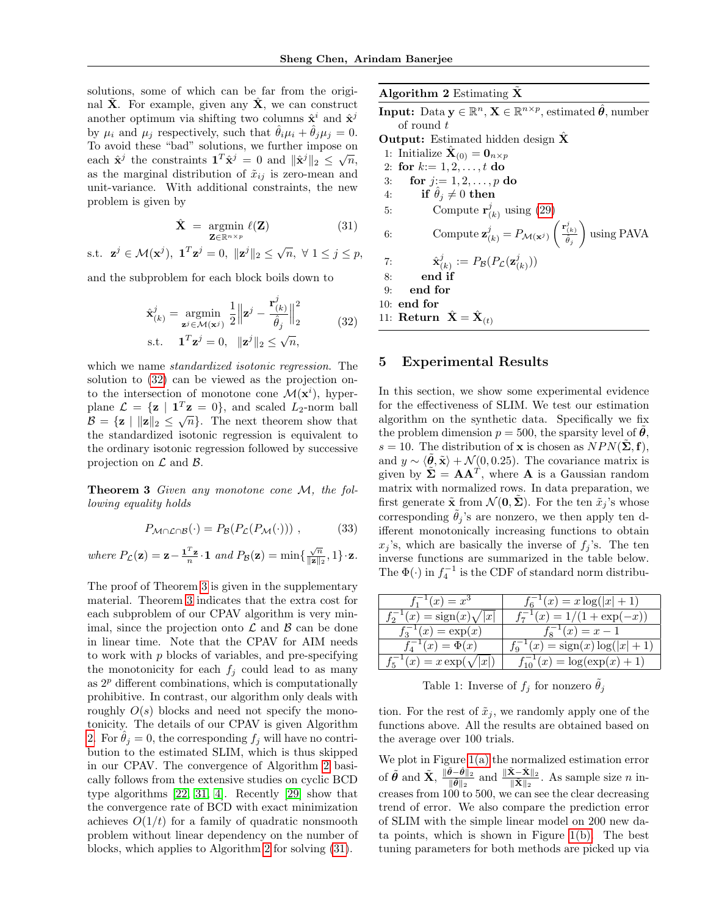solutions, some of which can be far from the original  $\hat{\mathbf{X}}$ . For example, given any  $\hat{\mathbf{X}}$ , we can construct another optimum via shifting two columns  $\hat{\mathbf{x}}^i$  and  $\hat{\mathbf{x}}^j$ by  $\mu_i$  and  $\mu_j$  respectively, such that  $\hat{\theta}_i \mu_i + \hat{\theta}_j \mu_j = 0$ . To avoid these "bad" solutions, we further impose on Fo avoid these bad solutions, we further impose on<br>each  $\hat{\mathbf{x}}^j$  the constraints  $\mathbf{1}^T \hat{\mathbf{x}}^j = 0$  and  $||\hat{\mathbf{x}}^j||_2 \leq \sqrt{n}$ , as the marginal distribution of  $\tilde{x}_{ij}$  is zero-mean and unit-variance. With additional constraints, the new problem is given by

$$
\hat{\mathbf{X}} = \underset{\mathbf{Z} \in \mathbb{R}^{n \times p}}{\operatorname{argmin}} \ell(\mathbf{Z}) \tag{31}
$$

s.t.  $\mathbf{z}^j \in \mathcal{M}(\mathbf{x}^j), \ \mathbf{1}^T\mathbf{z}^j = 0, \ \| \mathbf{z}^j \|_2 \leq \sqrt{n}, \ \forall \ 1 \leq j \leq p,$ 

and the subproblem for each block boils down to

$$
\hat{\mathbf{x}}_{(k)}^j = \underset{\mathbf{z}^j \in \mathcal{M}(\mathbf{x}^j)}{\operatorname{argmin}} \frac{1}{2} \left\| \mathbf{z}^j - \frac{\mathbf{r}_{(k)}^j}{\hat{\theta}_j} \right\|_2^2
$$
\n
$$
\text{s.t.} \quad \mathbf{1}^T \mathbf{z}^j = 0, \quad \|\mathbf{z}^j\|_2 \le \sqrt{n}, \tag{32}
$$

which we name *standardized isotonic regression*. The solution to [\(32\)](#page-6-1) can be viewed as the projection onto the intersection of monotone cone  $\mathcal{M}(\mathbf{x}^i)$ , hyperplane  $\mathcal{L} = {\mathbf{z} | \mathbf{1}^T \mathbf{z} = 0}$ , and scaled  $L_2$ -norm ball  $\mathcal{B} = \{ \mathbf{z} \mid ||\mathbf{z}||_2 \leq \sqrt{n} \}.$  The next theorem show that the standardized isotonic regression is equivalent to the ordinary isotonic regression followed by successive projection on  $\mathcal L$  and  $\mathcal B$ .

**Theorem 3** Given any monotone cone M, the following equality holds

<span id="page-6-2"></span>
$$
P_{\mathcal{M}\cap\mathcal{L}\cap\mathcal{B}}(\cdot) = P_{\mathcal{B}}(P_{\mathcal{L}}(P_{\mathcal{M}}(\cdot)))\,,\tag{33}
$$

where  $P_{\mathcal{L}}(\mathbf{z}) = \mathbf{z} - \frac{\mathbf{1}^T \mathbf{z}}{n} \cdot \mathbf{1}$  and  $P_{\mathcal{B}}(\mathbf{z}) = \min\{\frac{\sqrt{n}}{\|\mathbf{z}\|_2\}$  $\frac{\sqrt{n}}{\|\mathbf{z}\|_2}, 1 \}$  · **z**.

The proof of Theorem [3](#page-6-2) is given in the supplementary material. Theorem [3](#page-6-2) indicates that the extra cost for each subproblem of our CPAV algorithm is very minimal, since the projection onto  $\mathcal L$  and  $\mathcal B$  can be done in linear time. Note that the CPAV for AIM needs to work with  $p$  blocks of variables, and pre-specifying the monotonicity for each  $f_i$  could lead to as many as  $2<sup>p</sup>$  different combinations, which is computationally prohibitive. In contrast, our algorithm only deals with roughly  $O(s)$  blocks and need not specify the monotonicity. The details of our CPAV is given Algorithm [2.](#page-6-3) For  $\hat{\theta}_j = 0$ , the corresponding  $f_j$  will have no contribution to the estimated SLIM, which is thus skipped in our CPAV. The convergence of Algorithm [2](#page-6-3) basically follows from the extensive studies on cyclic BCD type algorithms [\[22,](#page-8-24) [31,](#page-9-5) [4\]](#page-8-25). Recently [\[29\]](#page-8-26) show that the convergence rate of BCD with exact minimization achieves  $O(1/t)$  for a family of quadratic nonsmooth problem without linear dependency on the number of blocks, which applies to Algorithm [2](#page-6-3) for solving [\(31\)](#page-6-4).

Algorithm  $2$  Estimating  $X$ 

<span id="page-6-3"></span> $\textbf{Input:} \ \ \text{Data} \ \textbf{y} \in \mathbb{R}^n, \ \textbf{X} \in \mathbb{R}^{n \times p}, \ \text{estimated} \ \hat{\boldsymbol{\theta}}, \ \text{number}$ of round  $t$ 

Output: Estimated hidden design  $\hat{\mathbf{X}}$ 

- 1: Initialize  $\hat{\mathbf{X}}_{(0)} = \mathbf{0}_{n \times p}$
- 2: for  $k:= 1, 2, ..., t$  do 3: for  $j = 1, 2, ..., p$  do
- 4: if  $\hat{\theta}_i \neq 0$  then

<span id="page-6-4"></span>5: Compute 
$$
\mathbf{r}_{(k)}^j
$$
 using (29)

6: Compute 
$$
\mathbf{z}_{(k)}^j = P_{\mathcal{M}(\mathbf{x}^j)}\left(\frac{\mathbf{r}_{(k)}^j}{\hat{\theta}_j}\right)
$$
 using PAVA

 $\binom{J}{(k)}$ 

7: 
$$
\hat{\mathbf{x}}_{(k)}^j := P_{\mathcal{B}}(P_{\mathcal{L}}(\mathbf{z}_{(k)}^j))
$$

<span id="page-6-1"></span>8: end if

9: end for

10: end for

11: Return  $\hat{\mathbf{X}} = \hat{\mathbf{X}}_{(t)}$ 

## <span id="page-6-0"></span>5 Experimental Results

In this section, we show some experimental evidence for the effectiveness of SLIM. We test our estimation algorithm on the synthetic data. Specifically we fix the problem dimension  $p = 500$ , the sparsity level of  $\theta$ , s = 10. The distribution of **x** is chosen as  $NPN(\Sigma, f)$ , and  $y \sim \langle \theta, \tilde{\mathbf{x}} \rangle + \mathcal{N}(0, 0.25)$ . The covariance matrix is given by  $\widetilde{\Sigma} = AA^T$ , where **A** is a Gaussian random matrix with normalized rows. In data preparation, we first generate  $\tilde{\mathbf{x}}$  from  $\mathcal{N}(\mathbf{0}, \mathbf{\Sigma})$ . For the ten  $\tilde{x}_i$ 's whose corresponding  $\tilde{\theta}_i$ 's are nonzero, we then apply ten different monotonically increasing functions to obtain  $x_i$ 's, which are basically the inverse of  $f_i$ 's. The ten inverse functions are summarized in the table below. The  $\Phi(\cdot)$  in  $f_4^{-1}$  is the CDF of standard norm distribu-

| $f_1^{-1}(x) = x^3$                      | $f_6^{-1}(x) = x \log( x +1)$        |
|------------------------------------------|--------------------------------------|
| $f_2^{-1}(x) = \text{sign}(x)\sqrt{ x }$ | $f_7^{-1}(x) = 1/(1 + \exp(-x))$     |
| $f_3^{-1}(x) = \exp(x)$                  | $f_8^{-1}(x) = x - 1$                |
| $f_4^{-1}(x) = \Phi(x)$                  | $f_9^{-1}(x) = sign(x) log( x +1)$   |
| $f_5^{-1}(x) = x \exp(\sqrt{ x })$       | $f_{10}^{-1}(x) = \log(\exp(x) + 1)$ |

Table 1: Inverse of  $f_j$  for nonzero  $\hat{\theta}_j$ 

tion. For the rest of  $\tilde{x}_i$ , we randomly apply one of the functions above. All the results are obtained based on the average over 100 trials.

We plot in Figure  $1(a)$  the normalized estimation error of  $\tilde{\boldsymbol{\theta}}$  and  $\tilde{\mathbf{X}}, \frac{\|\tilde{\boldsymbol{\theta}}-\hat{\boldsymbol{\theta}}\|_2}{\|\tilde{\boldsymbol{\theta}}\|_2}$  $\frac{\tilde{\theta}-\hat{\theta}\|_2}{\|\tilde{\theta}\|_2}$  and  $\frac{\|\tilde{\mathbf{X}}-\hat{\mathbf{X}}\|_2}{\|\tilde{\mathbf{X}}\|_2}$ . As sample size *n* increases from  $100$  to 500, we can see the clear decreasing trend of error. We also compare the prediction error of SLIM with the simple linear model on 200 new data points, which is shown in Figure [1\(b\).](#page-7-4) The best tuning parameters for both methods are picked up via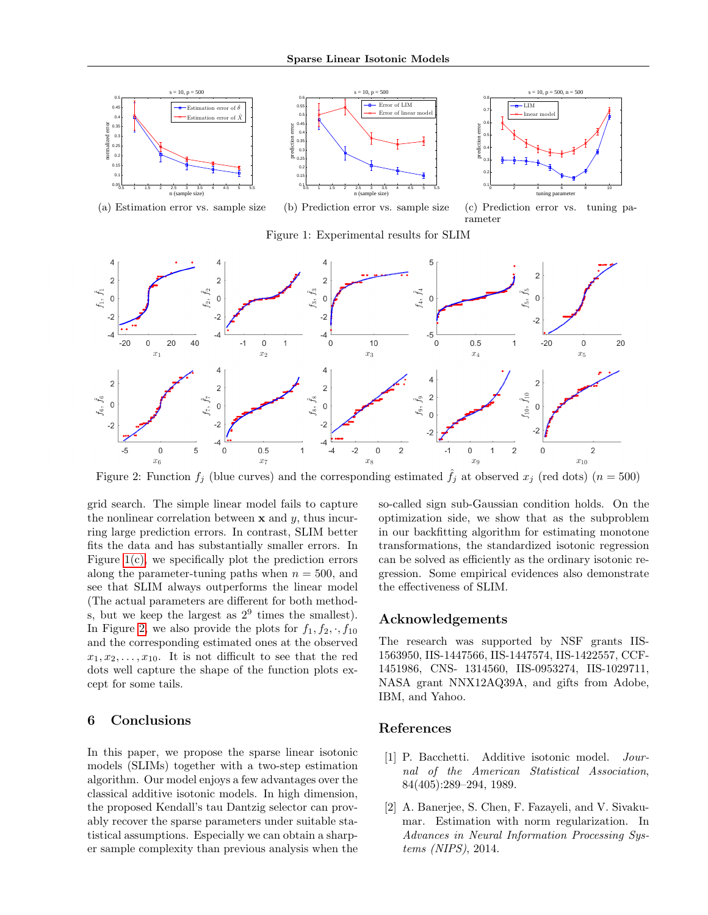<span id="page-7-4"></span><span id="page-7-3"></span>

Figure 2: Function  $f_j$  (blue curves) and the corresponding estimated  $\hat{f}_j$  at observed  $x_j$  (red dots) ( $n = 500$ )

grid search. The simple linear model fails to capture the nonlinear correlation between  $x$  and  $y$ , thus incurring large prediction errors. In contrast, SLIM better fits the data and has substantially smaller errors. In Figure  $1(c)$ , we specifically plot the prediction errors along the parameter-tuning paths when  $n = 500$ , and see that SLIM always outperforms the linear model (The actual parameters are different for both methods, but we keep the largest as  $2^9$  times the smallest). In Figure [2,](#page-7-6) we also provide the plots for  $f_1, f_2, \cdot, f_{10}$ and the corresponding estimated ones at the observed  $x_1, x_2, \ldots, x_{10}$ . It is not difficult to see that the red dots well capture the shape of the function plots except for some tails.

## <span id="page-7-1"></span>6 Conclusions

In this paper, we propose the sparse linear isotonic models (SLIMs) together with a two-step estimation algorithm. Our model enjoys a few advantages over the classical additive isotonic models. In high dimension, the proposed Kendall's tau Dantzig selector can provably recover the sparse parameters under suitable statistical assumptions. Especially we can obtain a sharper sample complexity than previous analysis when the

<span id="page-7-6"></span><span id="page-7-5"></span>so-called sign sub-Gaussian condition holds. On the optimization side, we show that as the subproblem in our backfitting algorithm for estimating monotone transformations, the standardized isotonic regression can be solved as efficiently as the ordinary isotonic regression. Some empirical evidences also demonstrate the effectiveness of SLIM.

## Acknowledgements

The research was supported by NSF grants IIS-1563950, IIS-1447566, IIS-1447574, IIS-1422557, CCF-1451986, CNS- 1314560, IIS-0953274, IIS-1029711, NASA grant NNX12AQ39A, and gifts from Adobe, IBM, and Yahoo.

#### References

- <span id="page-7-0"></span>[1] P. Bacchetti. Additive isotonic model. Journal of the American Statistical Association, 84(405):289–294, 1989.
- <span id="page-7-2"></span>[2] A. Banerjee, S. Chen, F. Fazayeli, and V. Sivakumar. Estimation with norm regularization. In Advances in Neural Information Processing Systems (NIPS), 2014.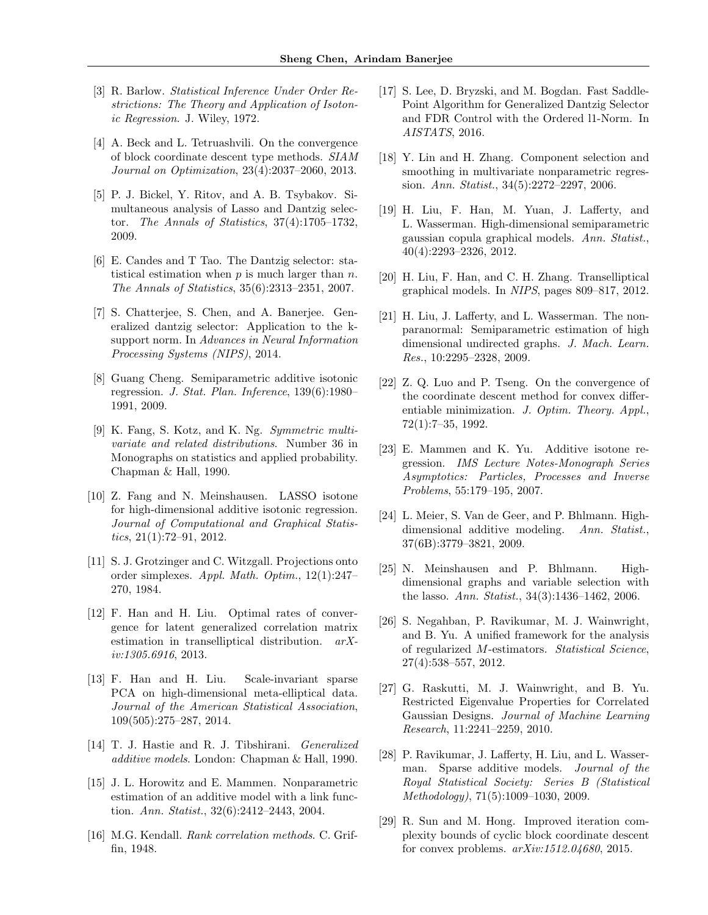- <span id="page-8-2"></span>[3] R. Barlow. Statistical Inference Under Order Restrictions: The Theory and Application of Isotonic Regression. J. Wiley, 1972.
- <span id="page-8-25"></span>[4] A. Beck and L. Tetruashvili. On the convergence of block coordinate descent type methods. SIAM Journal on Optimization, 23(4):2037–2060, 2013.
- <span id="page-8-1"></span>[5] P. J. Bickel, Y. Ritov, and A. B. Tsybakov. Simultaneous analysis of Lasso and Dantzig selector. The Annals of Statistics, 37(4):1705–1732, 2009.
- <span id="page-8-0"></span>[6] E. Candes and T Tao. The Dantzig selector: statistical estimation when  $p$  is much larger than  $n$ . The Annals of Statistics, 35(6):2313–2351, 2007.
- <span id="page-8-18"></span>[7] S. Chatterjee, S. Chen, and A. Banerjee. Generalized dantzig selector: Application to the ksupport norm. In Advances in Neural Information Processing Systems (NIPS), 2014.
- <span id="page-8-6"></span>[8] Guang Cheng. Semiparametric additive isotonic regression. J. Stat. Plan. Inference, 139(6):1980– 1991, 2009.
- <span id="page-8-20"></span>[9] K. Fang, S. Kotz, and K. Ng. Symmetric multivariate and related distributions. Number 36 in Monographs on statistics and applied probability. Chapman & Hall, 1990.
- <span id="page-8-5"></span>[10] Z. Fang and N. Meinshausen. LASSO isotone for high-dimensional additive isotonic regression. Journal of Computational and Graphical Statistics,  $21(1):72-91$ ,  $2012$ .
- <span id="page-8-23"></span>[11] S. J. Grotzinger and C. Witzgall. Projections onto order simplexes. Appl. Math. Optim., 12(1):247– 270, 1984.
- <span id="page-8-16"></span>[12] F. Han and H. Liu. Optimal rates of convergence for latent generalized correlation matrix estimation in transelliptical distribution. arXiv:1305.6916, 2013.
- <span id="page-8-17"></span>[13] F. Han and H. Liu. Scale-invariant sparse PCA on high-dimensional meta-elliptical data. Journal of the American Statistical Association, 109(505):275–287, 2014.
- <span id="page-8-7"></span>[14] T. J. Hastie and R. J. Tibshirani. Generalized additive models. London: Chapman & Hall, 1990.
- <span id="page-8-11"></span>[15] J. L. Horowitz and E. Mammen. Nonparametric estimation of an additive model with a link function. Ann. Statist.,  $32(6):2412-2443$ , 2004.
- <span id="page-8-3"></span>[16] M.G. Kendall. Rank correlation methods. C. Griffin, 1948.
- <span id="page-8-19"></span>[17] S. Lee, D. Bryzski, and M. Bogdan. Fast Saddle-Point Algorithm for Generalized Dantzig Selector and FDR Control with the Ordered l1-Norm. In AISTATS, 2016.
- <span id="page-8-9"></span>[18] Y. Lin and H. Zhang. Component selection and smoothing in multivariate nonparametric regression. Ann. Statist., 34(5):2272–2297, 2006.
- <span id="page-8-14"></span>[19] H. Liu, F. Han, M. Yuan, J. Lafferty, and L. Wasserman. High-dimensional semiparametric gaussian copula graphical models. Ann. Statist., 40(4):2293–2326, 2012.
- <span id="page-8-15"></span>[20] H. Liu, F. Han, and C. H. Zhang. Transelliptical graphical models. In NIPS, pages 809–817, 2012.
- <span id="page-8-13"></span>[21] H. Liu, J. Lafferty, and L. Wasserman. The nonparanormal: Semiparametric estimation of high dimensional undirected graphs. J. Mach. Learn. Res., 10:2295–2328, 2009.
- <span id="page-8-24"></span>[22] Z. Q. Luo and P. Tseng. On the convergence of the coordinate descent method for convex differentiable minimization. J. Optim. Theory. Appl., 72(1):7–35, 1992.
- <span id="page-8-4"></span>[23] E. Mammen and K. Yu. Additive isotone regression. IMS Lecture Notes-Monograph Series Asymptotics: Particles, Processes and Inverse Problems, 55:179–195, 2007.
- <span id="page-8-10"></span>[24] L. Meier, S. Van de Geer, and P. Bhlmann. Highdimensional additive modeling. Ann. Statist., 37(6B):3779–3821, 2009.
- <span id="page-8-12"></span>[25] N. Meinshausen and P. Bhlmann. Highdimensional graphs and variable selection with the lasso. Ann. Statist., 34(3):1436–1462, 2006.
- <span id="page-8-22"></span>[26] S. Negahban, P. Ravikumar, M. J. Wainwright, and B. Yu. A unified framework for the analysis of regularized M-estimators. Statistical Science, 27(4):538–557, 2012.
- <span id="page-8-21"></span>[27] G. Raskutti, M. J. Wainwright, and B. Yu. Restricted Eigenvalue Properties for Correlated Gaussian Designs. Journal of Machine Learning Research, 11:2241–2259, 2010.
- <span id="page-8-8"></span>[28] P. Ravikumar, J. Lafferty, H. Liu, and L. Wasserman. Sparse additive models. Journal of the Royal Statistical Society: Series B (Statistical Methodology), 71(5):1009–1030, 2009.
- <span id="page-8-26"></span>[29] R. Sun and M. Hong. Improved iteration complexity bounds of cyclic block coordinate descent for convex problems. arXiv:1512.04680, 2015.